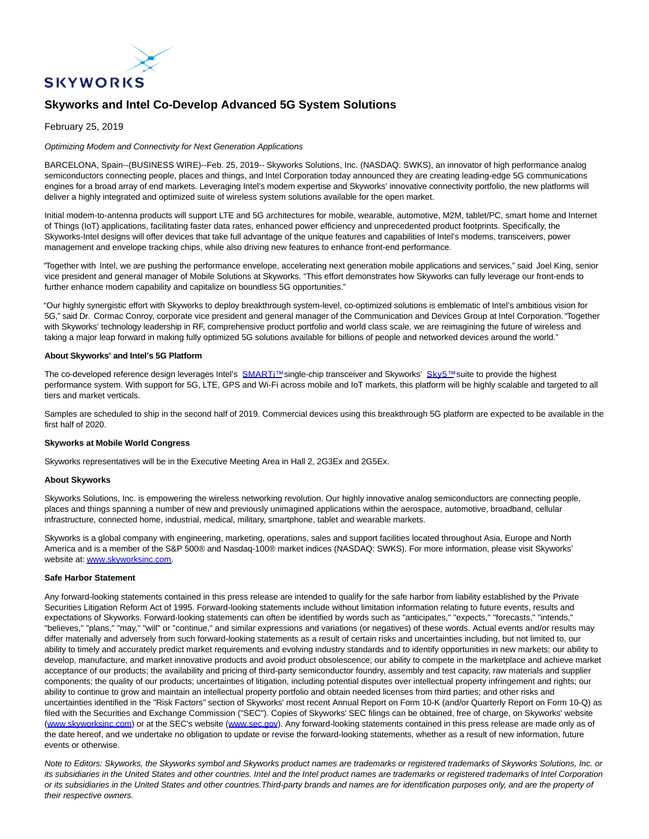

# **Skyworks and Intel Co-Develop Advanced 5G System Solutions**

## February 25, 2019

## Optimizing Modem and Connectivity for Next Generation Applications

BARCELONA, Spain--(BUSINESS WIRE)--Feb. 25, 2019-- Skyworks Solutions, Inc. (NASDAQ: SWKS), an innovator of high performance analog semiconductors connecting people, places and things, and Intel Corporation today announced they are creating leading-edge 5G communications engines for a broad array of end markets. Leveraging Intel's modem expertise and Skyworks' innovative connectivity portfolio, the new platforms will deliver a highly integrated and optimized suite of wireless system solutions available for the open market.

Initial modem-to-antenna products will support LTE and 5G architectures for mobile, wearable, automotive, M2M, tablet/PC, smart home and Internet of Things (IoT) applications, facilitating faster data rates, enhanced power efficiency and unprecedented product footprints. Specifically, the Skyworks-Intel designs will offer devices that take full advantage of the unique features and capabilities of Intel's modems, transceivers, power management and envelope tracking chips, while also driving new features to enhance front-end performance.

"Together with Intel, we are pushing the performance envelope, accelerating next generation mobile applications and services," said Joel King, senior vice president and general manager of Mobile Solutions at Skyworks. "This effort demonstrates how Skyworks can fully leverage our front-ends to further enhance modem capability and capitalize on boundless 5G opportunities."

"Our highly synergistic effort with Skyworks to deploy breakthrough system-level, co-optimized solutions is emblematic of Intel's ambitious vision for 5G," said Dr. Cormac Conroy, corporate vice president and general manager of the Communication and Devices Group at Intel Corporation. "Together with Skyworks' technology leadership in RF, comprehensive product portfolio and world class scale, we are reimagining the future of wireless and taking a major leap forward in making fully optimized 5G solutions available for billions of people and networked devices around the world."

### **About Skyworks' and Intel's 5G Platform**

The co-developed reference design leverages Intel's **SMARTi**™ single-chip transceiver and Skyworks' [Sky5™ s](https://cts.businesswire.com/ct/CT?id=smartlink&url=http%3A%2F%2Fwww.skyworksinc.com%2FProducts_Sky5.aspx&esheet=51945140&newsitemid=20190224005046&lan=en-US&anchor=Sky5%E2%84%A2&index=2&md5=221451e786e22b4dc3775940a7a610a8)uite to provide the highest performance system. With support for 5G, LTE, GPS and Wi-Fi across mobile and IoT markets, this platform will be highly scalable and targeted to all tiers and market verticals.

Samples are scheduled to ship in the second half of 2019. Commercial devices using this breakthrough 5G platform are expected to be available in the first half of 2020.

#### **Skyworks at Mobile World Congress**

Skyworks representatives will be in the Executive Meeting Area in Hall 2, 2G3Ex and 2G5Ex.

#### **About Skyworks**

Skyworks Solutions, Inc. is empowering the wireless networking revolution. Our highly innovative analog semiconductors are connecting people, places and things spanning a number of new and previously unimagined applications within the aerospace, automotive, broadband, cellular infrastructure, connected home, industrial, medical, military, smartphone, tablet and wearable markets.

Skyworks is a global company with engineering, marketing, operations, sales and support facilities located throughout Asia, Europe and North America and is a member of the S&P 500® and Nasdaq-100® market indices (NASDAQ: SWKS). For more information, please visit Skyworks' website at[: www.skyworksinc.com.](https://cts.businesswire.com/ct/CT?id=smartlink&url=http%3A%2F%2Fwww.skyworksinc.com&esheet=51945140&newsitemid=20190224005046&lan=en-US&anchor=www.skyworksinc.com&index=3&md5=04991f859a5b3238bc971ef2ba8f998c)

#### **Safe Harbor Statement**

Any forward-looking statements contained in this press release are intended to qualify for the safe harbor from liability established by the Private Securities Litigation Reform Act of 1995. Forward-looking statements include without limitation information relating to future events, results and expectations of Skyworks. Forward-looking statements can often be identified by words such as "anticipates," "expects," "forecasts," "intends," "believes," "plans," "may," "will" or "continue," and similar expressions and variations (or negatives) of these words. Actual events and/or results may differ materially and adversely from such forward-looking statements as a result of certain risks and uncertainties including, but not limited to, our ability to timely and accurately predict market requirements and evolving industry standards and to identify opportunities in new markets; our ability to develop, manufacture, and market innovative products and avoid product obsolescence; our ability to compete in the marketplace and achieve market acceptance of our products; the availability and pricing of third-party semiconductor foundry, assembly and test capacity, raw materials and supplier components; the quality of our products; uncertainties of litigation, including potential disputes over intellectual property infringement and rights; our ability to continue to grow and maintain an intellectual property portfolio and obtain needed licenses from third parties; and other risks and uncertainties identified in the "Risk Factors" section of Skyworks' most recent Annual Report on Form 10-K (and/or Quarterly Report on Form 10-Q) as filed with the Securities and Exchange Commission ("SEC"). Copies of Skyworks' SEC filings can be obtained, free of charge, on Skyworks' website [\(www.skyworksinc.com\)](https://cts.businesswire.com/ct/CT?id=smartlink&url=http%3A%2F%2Fwww.skyworksinc.com&esheet=51945140&newsitemid=20190224005046&lan=en-US&anchor=www.skyworksinc.com&index=4&md5=0ccbc81b70536b357695cca9202e4b49) or at the SEC's website [\(www.sec.gov\).](http://www.sec.gov/) Any forward-looking statements contained in this press release are made only as of the date hereof, and we undertake no obligation to update or revise the forward-looking statements, whether as a result of new information, future events or otherwise.

Note to Editors: Skyworks, the Skyworks symbol and Skyworks product names are trademarks or registered trademarks of Skyworks Solutions, Inc. or its subsidiaries in the United States and other countries. Intel and the Intel product names are trademarks or registered trademarks of Intel Corporation or its subsidiaries in the United States and other countries.Third-party brands and names are for identification purposes only, and are the property of their respective owners.